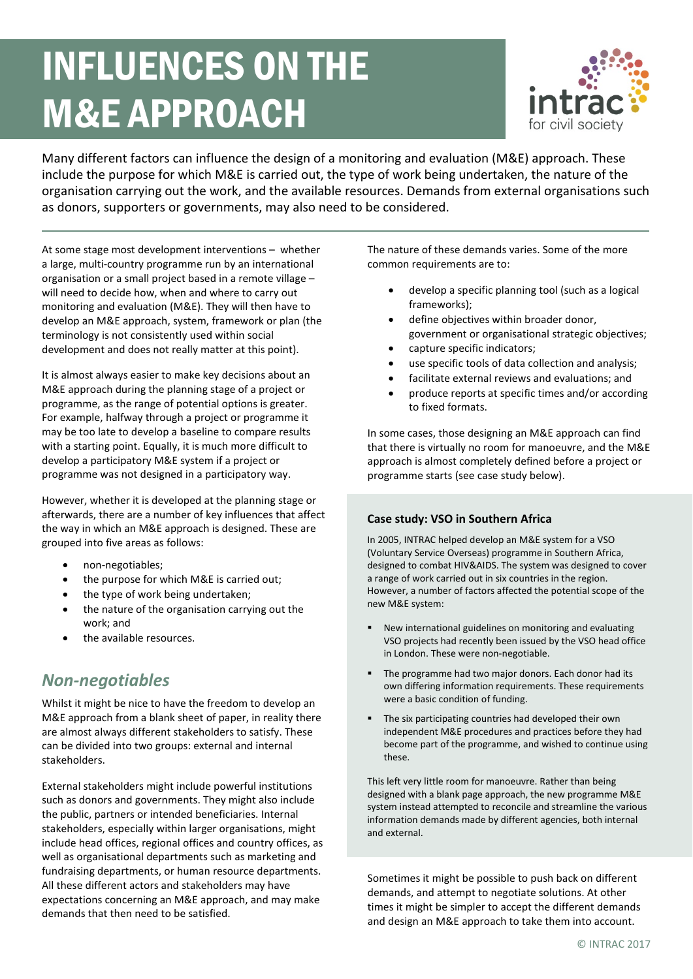# INFLUENCES ON THE M&E APPROACH



Many different factors can influence the design of a monitoring and evaluation (M&E) approach. These include the purpose for which M&E is carried out, the type of work being undertaken, the nature of the organisation carrying out the work, and the available resources. Demands from external organisations such as donors, supporters or governments, may also need to be considered.

At some stage most development interventions – whether a large, multi-country programme run by an international organisation or a small project based in a remote village – will need to decide how, when and where to carry out monitoring and evaluation (M&E). They will then have to develop an M&E approach, system, framework or plan (the terminology is not consistently used within social development and does not really matter at this point).

It is almost always easier to make key decisions about an M&E approach during the planning stage of a project or programme, as the range of potential options is greater. For example, halfway through a project or programme it may be too late to develop a baseline to compare results with a starting point. Equally, it is much more difficult to develop a participatory M&E system if a project or programme was not designed in a participatory way.

However, whether it is developed at the planning stage or afterwards, there are a number of key influences that affect the way in which an M&E approach is designed. These are grouped into five areas as follows:

- non-negotiables;
- the purpose for which M&E is carried out;
- the type of work being undertaken;
- the nature of the organisation carrying out the work; and
- the available resources.

#### *Non-negotiables*

Whilst it might be nice to have the freedom to develop an M&E approach from a blank sheet of paper, in reality there are almost always different stakeholders to satisfy. These can be divided into two groups: external and internal stakeholders.

External stakeholders might include powerful institutions such as donors and governments. They might also include the public, partners or intended beneficiaries. Internal stakeholders, especially within larger organisations, might include head offices, regional offices and country offices, as well as organisational departments such as marketing and fundraising departments, or human resource departments. All these different actors and stakeholders may have expectations concerning an M&E approach, and may make demands that then need to be satisfied.

The nature of these demands varies. Some of the more common requirements are to:

- develop a specific planning tool (such as a logical frameworks);
- define objectives within broader donor, government or organisational strategic objectives;
- capture specific indicators;
- use specific tools of data collection and analysis;
- facilitate external reviews and evaluations; and
- produce reports at specific times and/or according to fixed formats.

In some cases, those designing an M&E approach can find that there is virtually no room for manoeuvre, and the M&E approach is almost completely defined before a project or programme starts (see case study below).

#### **Case study: VSO in Southern Africa**

In 2005, INTRAC helped develop an M&E system for a VSO (Voluntary Service Overseas) programme in Southern Africa, designed to combat HIV&AIDS. The system was designed to cover a range of work carried out in six countries in the region. However, a number of factors affected the potential scope of the new M&E system:

- New international guidelines on monitoring and evaluating VSO projects had recently been issued by the VSO head office in London. These were non-negotiable.
- **The programme had two major donors. Each donor had its** own differing information requirements. These requirements were a basic condition of funding.
- The six participating countries had developed their own independent M&E procedures and practices before they had become part of the programme, and wished to continue using these.

This left very little room for manoeuvre. Rather than being designed with a blank page approach, the new programme M&E system instead attempted to reconcile and streamline the various information demands made by different agencies, both internal and external.

Sometimes it might be possible to push back on different demands, and attempt to negotiate solutions. At other times it might be simpler to accept the different demands and design an M&E approach to take them into account.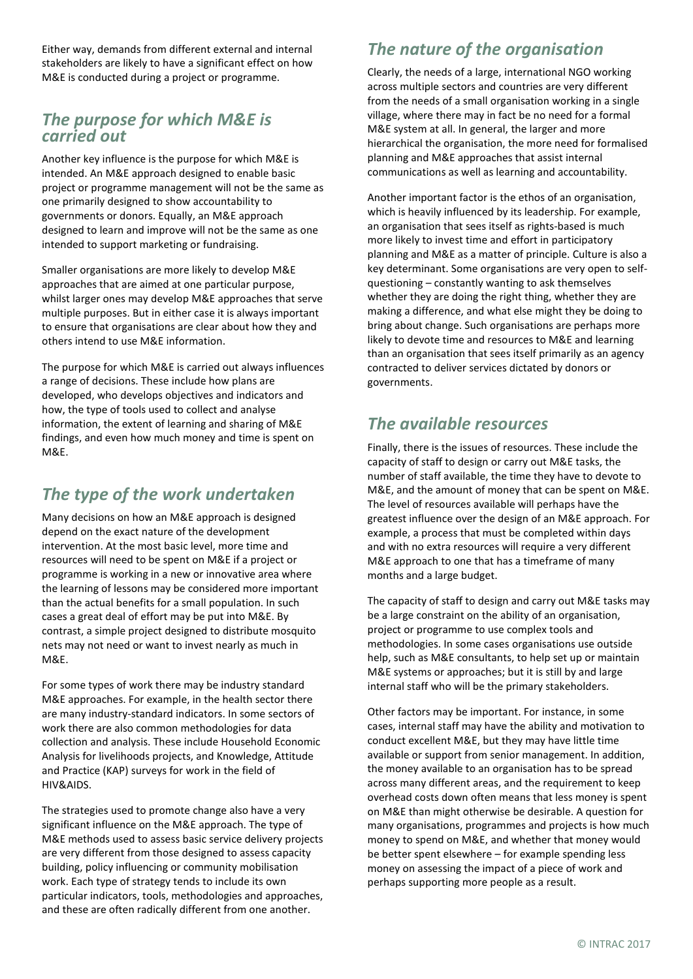Either way, demands from different external and internal stakeholders are likely to have a significant effect on how M&E is conducted during a project or programme.

#### *The purpose for which M&E is carried out*

Another key influence is the purpose for which M&E is intended. An M&E approach designed to enable basic project or programme management will not be the same as one primarily designed to show accountability to governments or donors. Equally, an M&E approach designed to learn and improve will not be the same as one intended to support marketing or fundraising.

Smaller organisations are more likely to develop M&E approaches that are aimed at one particular purpose, whilst larger ones may develop M&E approaches that serve multiple purposes. But in either case it is always important to ensure that organisations are clear about how they and others intend to use M&E information.

The purpose for which M&E is carried out always influences a range of decisions. These include how plans are developed, who develops objectives and indicators and how, the type of tools used to collect and analyse information, the extent of learning and sharing of M&E findings, and even how much money and time is spent on M&E.

#### *The type of the work undertaken*

Many decisions on how an M&E approach is designed depend on the exact nature of the development intervention. At the most basic level, more time and resources will need to be spent on M&E if a project or programme is working in a new or innovative area where the learning of lessons may be considered more important than the actual benefits for a small population. In such cases a great deal of effort may be put into M&E. By contrast, a simple project designed to distribute mosquito nets may not need or want to invest nearly as much in M&E.

For some types of work there may be industry standard M&E approaches. For example, in the health sector there are many industry-standard indicators. In some sectors of work there are also common methodologies for data collection and analysis. These include Household Economic Analysis for livelihoods projects, and Knowledge, Attitude and Practice (KAP) surveys for work in the field of HIV&AIDS.

The strategies used to promote change also have a very significant influence on the M&E approach. The type of M&E methods used to assess basic service delivery projects are very different from those designed to assess capacity building, policy influencing or community mobilisation work. Each type of strategy tends to include its own particular indicators, tools, methodologies and approaches, and these are often radically different from one another.

#### *The nature of the organisation*

Clearly, the needs of a large, international NGO working across multiple sectors and countries are very different from the needs of a small organisation working in a single village, where there may in fact be no need for a formal M&E system at all. In general, the larger and more hierarchical the organisation, the more need for formalised planning and M&E approaches that assist internal communications as well as learning and accountability.

Another important factor is the ethos of an organisation, which is heavily influenced by its leadership. For example, an organisation that sees itself as rights-based is much more likely to invest time and effort in participatory planning and M&E as a matter of principle. Culture is also a key determinant. Some organisations are very open to selfquestioning – constantly wanting to ask themselves whether they are doing the right thing, whether they are making a difference, and what else might they be doing to bring about change. Such organisations are perhaps more likely to devote time and resources to M&E and learning than an organisation that sees itself primarily as an agency contracted to deliver services dictated by donors or governments.

#### *The available resources*

Finally, there is the issues of resources. These include the capacity of staff to design or carry out M&E tasks, the number of staff available, the time they have to devote to M&E, and the amount of money that can be spent on M&E. The level of resources available will perhaps have the greatest influence over the design of an M&E approach. For example, a process that must be completed within days and with no extra resources will require a very different M&E approach to one that has a timeframe of many months and a large budget.

The capacity of staff to design and carry out M&E tasks may be a large constraint on the ability of an organisation, project or programme to use complex tools and methodologies. In some cases organisations use outside help, such as M&E consultants, to help set up or maintain M&E systems or approaches; but it is still by and large internal staff who will be the primary stakeholders.

Other factors may be important. For instance, in some cases, internal staff may have the ability and motivation to conduct excellent M&E, but they may have little time available or support from senior management. In addition, the money available to an organisation has to be spread across many different areas, and the requirement to keep overhead costs down often means that less money is spent on M&E than might otherwise be desirable. A question for many organisations, programmes and projects is how much money to spend on M&E, and whether that money would be better spent elsewhere – for example spending less money on assessing the impact of a piece of work and perhaps supporting more people as a result.